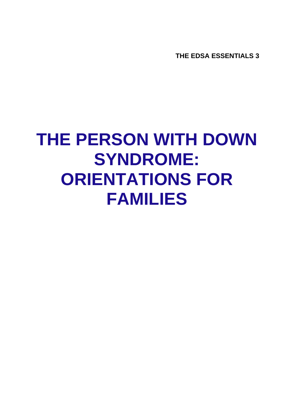**THE EDSA ESSENTIALS 3** 

# **THE PERSON WITH DOWN SYNDROME: ORIENTATIONS FOR FAMILIES**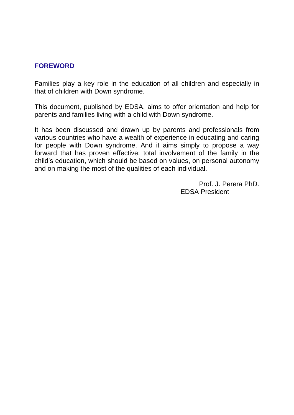#### **FOREWORD**

Families play a key role in the education of all children and especially in that of children with Down syndrome.

This document, published by EDSA, aims to offer orientation and help for parents and families living with a child with Down syndrome.

It has been discussed and drawn up by parents and professionals from various countries who have a wealth of experience in educating and caring for people with Down syndrome. And it aims simply to propose a way forward that has proven effective: total involvement of the family in the child's education, which should be based on values, on personal autonomy and on making the most of the qualities of each individual.

> Prof. J. Perera PhD. EDSA President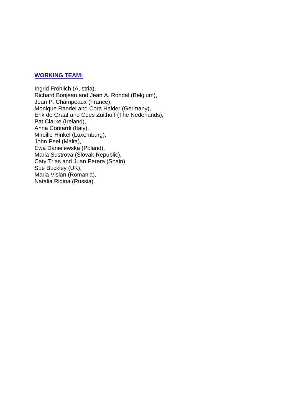#### **WORKING TEAM:**

Ingrid Fröhlich (Austria), Richard Bonjean and Jean A. Rondal (Belgium), Jean P. Champeaux (France), Monique Randel and Cora Halder (Germany), Erik de Graaf and Cees Zuithoff (The Nederlands), Pat Clarke (Ireland), Anna Contardi (Italy), Mireille Hinkel (Luxemburg), John Peel (Malta), Ewa Danielewska (Poland), Maria Sustrova (Slovak Republic), Caty Trias and Juan Perera (Spain), Sue Buckley (UK), Maria Vislan (Romania), Natalia Rigina (Russia).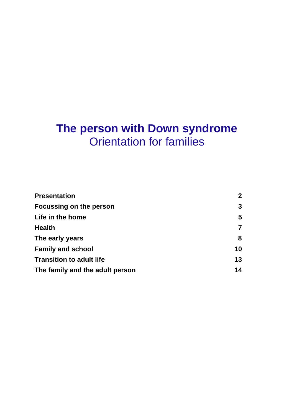## **The person with Down syndrome**  Orientation for families

| <b>Presentation</b>             | $\mathbf{2}$ |
|---------------------------------|--------------|
| Focussing on the person         | 3            |
| Life in the home                | 5            |
| <b>Health</b>                   |              |
| The early years                 | 8            |
| <b>Family and school</b>        | 10           |
| <b>Transition to adult life</b> | 13           |
| The family and the adult person | 14           |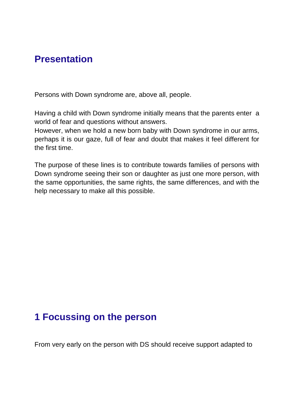#### **Presentation**

Persons with Down syndrome are, above all, people.

Having a child with Down syndrome initially means that the parents enter a world of fear and questions without answers.

However, when we hold a new born baby with Down syndrome in our arms, perhaps it is our gaze, full of fear and doubt that makes it feel different for the first time.

The purpose of these lines is to contribute towards families of persons with Down syndrome seeing their son or daughter as just one more person, with the same opportunities, the same rights, the same differences, and with the help necessary to make all this possible.

## **1 Focussing on the person**

From very early on the person with DS should receive support adapted to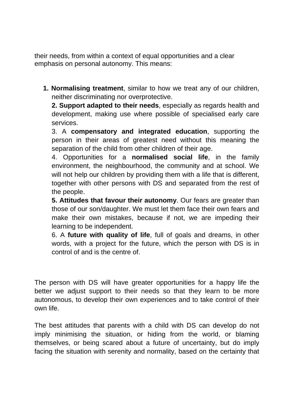their needs, from within a context of equal opportunities and a clear emphasis on personal autonomy. This means:

**1. Normalising treatment**, similar to how we treat any of our children, neither discriminating nor overprotective.

**2. Support adapted to their needs**, especially as regards health and development, making use where possible of specialised early care services.

3. A **compensatory and integrated education**, supporting the person in their areas of greatest need without this meaning the separation of the child from other children of their age.

4. Opportunities for a **normalised social life**, in the family environment, the neighbourhood, the community and at school. We will not help our children by providing them with a life that is different, together with other persons with DS and separated from the rest of the people.

**5. Attitudes that favour their autonomy**. Our fears are greater than those of our son/daughter. We must let them face their own fears and make their own mistakes, because if not, we are impeding their learning to be independent.

6. A **future with quality of life**, full of goals and dreams, in other words, with a project for the future, which the person with DS is in control of and is the centre of.

The person with DS will have greater opportunities for a happy life the better we adjust support to their needs so that they learn to be more autonomous, to develop their own experiences and to take control of their own life.

The best attitudes that parents with a child with DS can develop do not imply minimising the situation, or hiding from the world, or blaming themselves, or being scared about a future of uncertainty, but do imply facing the situation with serenity and normality, based on the certainty that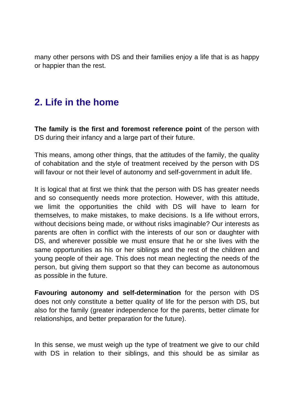many other persons with DS and their families enjoy a life that is as happy or happier than the rest.

## **2. Life in the home**

**The family is the first and foremost reference point** of the person with DS during their infancy and a large part of their future.

This means, among other things, that the attitudes of the family, the quality of cohabitation and the style of treatment received by the person with DS will favour or not their level of autonomy and self-government in adult life.

It is logical that at first we think that the person with DS has greater needs and so consequently needs more protection. However, with this attitude, we limit the opportunities the child with DS will have to learn for themselves, to make mistakes, to make decisions. Is a life without errors, without decisions being made, or without risks imaginable? Our interests as parents are often in conflict with the interests of our son or daughter with DS, and wherever possible we must ensure that he or she lives with the same opportunities as his or her siblings and the rest of the children and young people of their age. This does not mean neglecting the needs of the person, but giving them support so that they can become as autonomous as possible in the future.

**Favouring autonomy and self-determination** for the person with DS does not only constitute a better quality of life for the person with DS, but also for the family (greater independence for the parents, better climate for relationships, and better preparation for the future).

In this sense, we must weigh up the type of treatment we give to our child with DS in relation to their siblings, and this should be as similar as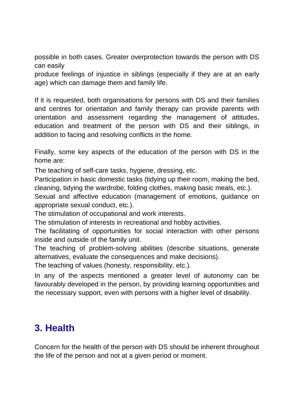possible in both cases. Greater overprotection towards the person with DS can easily

produce feelings of injustice in siblings (especially if they are at an early age) which can damage them and family life.

If it is requested, both organisations for persons with DS and their families and centres for orientation and family therapy can provide parents with orientation and assessment regarding the management of attitudes, education and treatment of the person with DS and their siblings, in addition to facing and resolving conflicts in the home.

Finally, some key aspects of the education of the person with DS in the home are:

The teaching of self-care tasks, hygiene, dressing, etc.

Participation in basic domestic tasks (tidying up their room, making the bed, cleaning, tidying the wardrobe, folding clothes, making basic meals, etc.).

Sexual and affective education (management of emotions, guidance on appropriate sexual conduct, etc.).

The stimulation of occupational and work interests.

The stimulation of interests in recreational and hobby activities.

The facilitating of opportunities for social interaction with other persons inside and outside of the family unit.

The teaching of problem-solving abilities (describe situations, generate alternatives, evaluate the consequences and make decisions).

The teaching of values (honesty, responsibility, etc.).

In any of the aspects mentioned a greater level of autonomy can be favourably developed in the person, by providing learning opportunities and the necessary support, even with persons with a higher level of disability.

## **3. Health**

Concern for the health of the person with DS should be inherent throughout the life of the person and not at a given period or moment.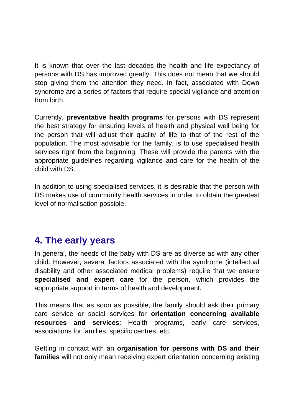It is known that over the last decades the health and life expectancy of persons with DS has improved greatly. This does not mean that we should stop giving them the attention they need. In fact, associated with Down syndrome are a series of factors that require special vigilance and attention from birth.

Currently, **preventative health programs** for persons with DS represent the best strategy for ensuring levels of health and physical well being for the person that will adjust their quality of life to that of the rest of the population. The most advisable for the family, is to use specialised health services right from the beginning. These will provide the parents with the appropriate guidelines regarding vigilance and care for the health of the child with DS.

In addition to using specialised services, it is desirable that the person with DS makes use of community health services in order to obtain the greatest level of normalisation possible.

#### **4. The early years**

In general, the needs of the baby with DS are as diverse as with any other child. However, several factors associated with the syndrome (intellectual disability and other associated medical problems) require that we ensure **specialised and expert care** for the person, which provides the appropriate support in terms of health and development.

This means that as soon as possible, the family should ask their primary care service or social services for **orientation concerning available resources and services**: Health programs, early care services, associations for families, specific centres, etc.

Getting in contact with an **organisation for persons with DS and their families** will not only mean receiving expert orientation concerning existing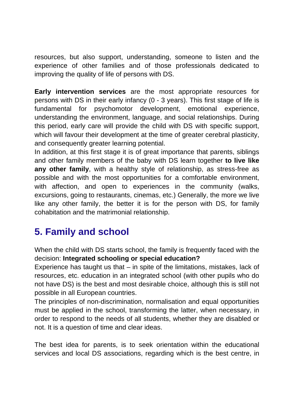resources, but also support, understanding, someone to listen and the experience of other families and of those professionals dedicated to improving the quality of life of persons with DS.

**Early intervention services** are the most appropriate resources for persons with DS in their early infancy (0 - 3 years). This first stage of life is fundamental for psychomotor development, emotional experience, understanding the environment, language, and social relationships. During this period, early care will provide the child with DS with specific support, which will favour their development at the time of greater cerebral plasticity, and consequently greater learning potential.

In addition, at this first stage it is of great importance that parents, siblings and other family members of the baby with DS learn together **to live like any other family**, with a healthy style of relationship, as stress-free as possible and with the most opportunities for a comfortable environment, with affection, and open to experiences in the community (walks, excursions, going to restaurants, cinemas, etc.) Generally, the more we live like any other family, the better it is for the person with DS, for family cohabitation and the matrimonial relationship.

## **5. Family and school**

When the child with DS starts school, the family is frequently faced with the decision: **Integrated schooling or special education?**

Experience has taught us that – in spite of the limitations, mistakes, lack of resources, etc. education in an integrated school (with other pupils who do not have DS) is the best and most desirable choice, although this is still not possible in all European countries.

The principles of non-discrimination, normalisation and equal opportunities must be applied in the school, transforming the latter, when necessary, in order to respond to the needs of all students, whether they are disabled or not. It is a question of time and clear ideas.

The best idea for parents, is to seek orientation within the educational services and local DS associations, regarding which is the best centre, in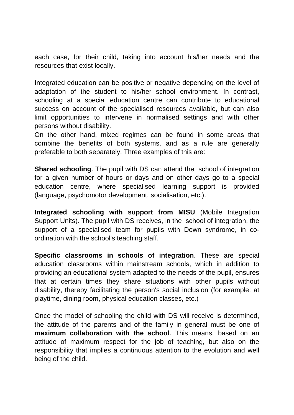each case, for their child, taking into account his/her needs and the resources that exist locally.

Integrated education can be positive or negative depending on the level of adaptation of the student to his/her school environment. In contrast, schooling at a special education centre can contribute to educational success on account of the specialised resources available, but can also limit opportunities to intervene in normalised settings and with other persons without disability.

On the other hand, mixed regimes can be found in some areas that combine the benefits of both systems, and as a rule are generally preferable to both separately. Three examples of this are:

**Shared schooling**. The pupil with DS can attend the school of integration for a given number of hours or days and on other days go to a special education centre, where specialised learning support is provided (language, psychomotor development, socialisation, etc.).

**Integrated schooling with support from MISU** (Mobile Integration Support Units). The pupil with DS receives, in the school of integration, the support of a specialised team for pupils with Down syndrome, in coordination with the school's teaching staff.

**Specific classrooms in schools of integration**. These are special education classrooms within mainstream schools, which in addition to providing an educational system adapted to the needs of the pupil, ensures that at certain times they share situations with other pupils without disability, thereby facilitating the person's social inclusion (for example; at playtime, dining room, physical education classes, etc.)

Once the model of schooling the child with DS will receive is determined, the attitude of the parents and of the family in general must be one of **maximum collaboration with the school**. This means, based on an attitude of maximum respect for the job of teaching, but also on the responsibility that implies a continuous attention to the evolution and well being of the child.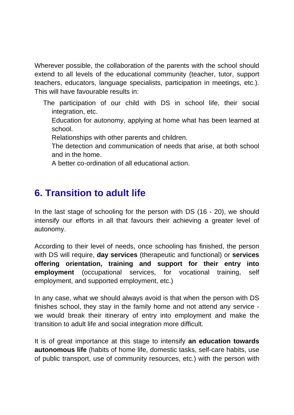Wherever possible, the collaboration of the parents with the school should extend to all levels of the educational community (teacher, tutor, support teachers, educators, language specialists, participation in meetings, etc.). This will have favourable results in:

- The participation of our child with DS in school life, their social integration, etc.
	- Education for autonomy, applying at home what has been learned at school.
	- Relationships with other parents and children.
	- The detection and communication of needs that arise, at both school and in the home.
	- A better co-ordination of all educational action.

#### **6. Transition to adult life**

In the last stage of schooling for the person with DS (16 - 20), we should intensify our efforts in all that favours their achieving a greater level of autonomy.

According to their level of needs, once schooling has finished, the person with DS will require, **day services** (therapeutic and functional) or **services offering orientation, training and support for their entry into employment** (occupational services, for vocational training, self employment, and supported employment, etc.)

In any case, what we should always avoid is that when the person with DS finishes school, they stay in the family home and not attend any service we would break their itinerary of entry into employment and make the transition to adult life and social integration more difficult.

It is of great importance at this stage to intensify **an education towards autonomous life** (habits of home life, domestic tasks, self-care habits, use of public transport, use of community resources, etc.) with the person with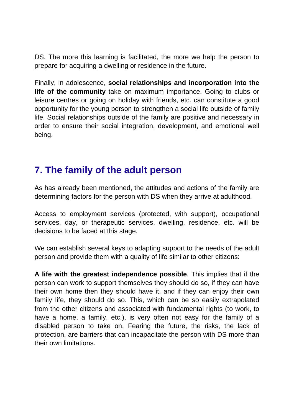DS. The more this learning is facilitated, the more we help the person to prepare for acquiring a dwelling or residence in the future.

Finally, in adolescence, **social relationships and incorporation into the life of the community** take on maximum importance. Going to clubs or leisure centres or going on holiday with friends, etc. can constitute a good opportunity for the young person to strengthen a social life outside of family life. Social relationships outside of the family are positive and necessary in order to ensure their social integration, development, and emotional well being.

#### **7. The family of the adult person**

As has already been mentioned, the attitudes and actions of the family are determining factors for the person with DS when they arrive at adulthood.

Access to employment services (protected, with support), occupational services, day, or therapeutic services, dwelling, residence, etc. will be decisions to be faced at this stage.

We can establish several keys to adapting support to the needs of the adult person and provide them with a quality of life similar to other citizens:

**A life with the greatest independence possible**. This implies that if the person can work to support themselves they should do so, if they can have their own home then they should have it, and if they can enjoy their own family life, they should do so. This, which can be so easily extrapolated from the other citizens and associated with fundamental rights (to work, to have a home, a family, etc.), is very often not easy for the family of a disabled person to take on. Fearing the future, the risks, the lack of protection, are barriers that can incapacitate the person with DS more than their own limitations.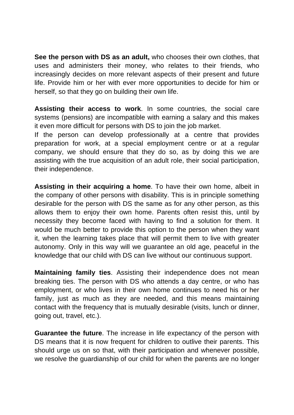**See the person with DS as an adult,** who chooses their own clothes, that uses and administers their money, who relates to their friends, who increasingly decides on more relevant aspects of their present and future life. Provide him or her with ever more opportunities to decide for him or herself, so that they go on building their own life.

**Assisting their access to work**. In some countries, the social care systems (pensions) are incompatible with earning a salary and this makes it even more difficult for persons with DS to join the job market.

If the person can develop professionally at a centre that provides preparation for work, at a special employment centre or at a regular company, we should ensure that they do so, as by doing this we are assisting with the true acquisition of an adult role, their social participation, their independence.

**Assisting in their acquiring a home**. To have their own home, albeit in the company of other persons with disability. This is in principle something desirable for the person with DS the same as for any other person, as this allows them to enjoy their own home. Parents often resist this, until by necessity they become faced with having to find a solution for them. It would be much better to provide this option to the person when they want it, when the learning takes place that will permit them to live with greater autonomy. Only in this way will we guarantee an old age, peaceful in the knowledge that our child with DS can live without our continuous support.

**Maintaining family ties**. Assisting their independence does not mean breaking ties. The person with DS who attends a day centre, or who has employment, or who lives in their own home continues to need his or her family, just as much as they are needed, and this means maintaining contact with the frequency that is mutually desirable (visits, lunch or dinner, going out, travel, etc.).

**Guarantee the future**. The increase in life expectancy of the person with DS means that it is now frequent for children to outlive their parents. This should urge us on so that, with their participation and whenever possible, we resolve the guardianship of our child for when the parents are no longer